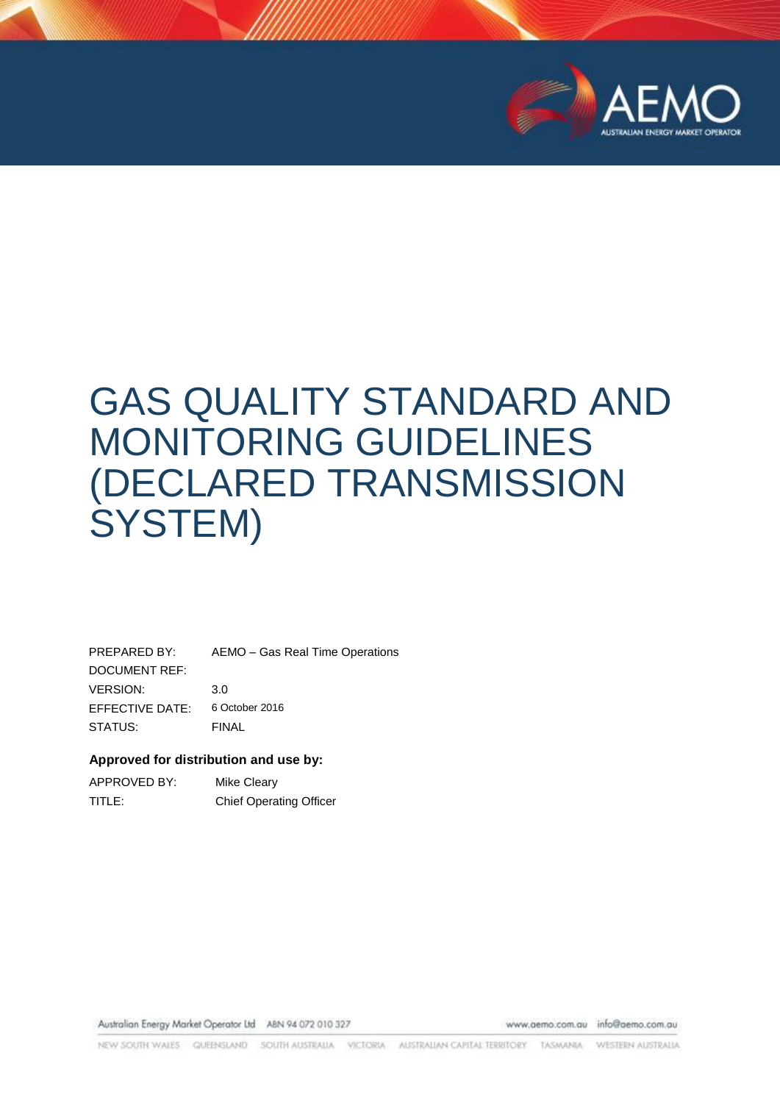

# GAS QUALITY STANDARD AND MONITORING GUIDELINES (DECLARED TRANSMISSION SYSTEM)

PREPARED BY: AEMO – Gas Real Time Operations DOCUMENT REF: VERSION: 3.0 EFFECTIVE DATE: 6 October 2016 STATUS: FINAL

#### **Approved for distribution and use by:**

| APPROVED BY: | Mike Cleary                    |
|--------------|--------------------------------|
| TITLE:       | <b>Chief Operating Officer</b> |

Australian Energy Market Operator Ltd ABN 94 072 010 327

www.aemo.com.au info@aemo.com.au

NEW SOUTH WALES GUEENSLAND SOUTH AUSTRALIA VICTORIA AUSTRALIAN CAPITAL TERRITORY TASMANIA WESTERN AUSTRALIA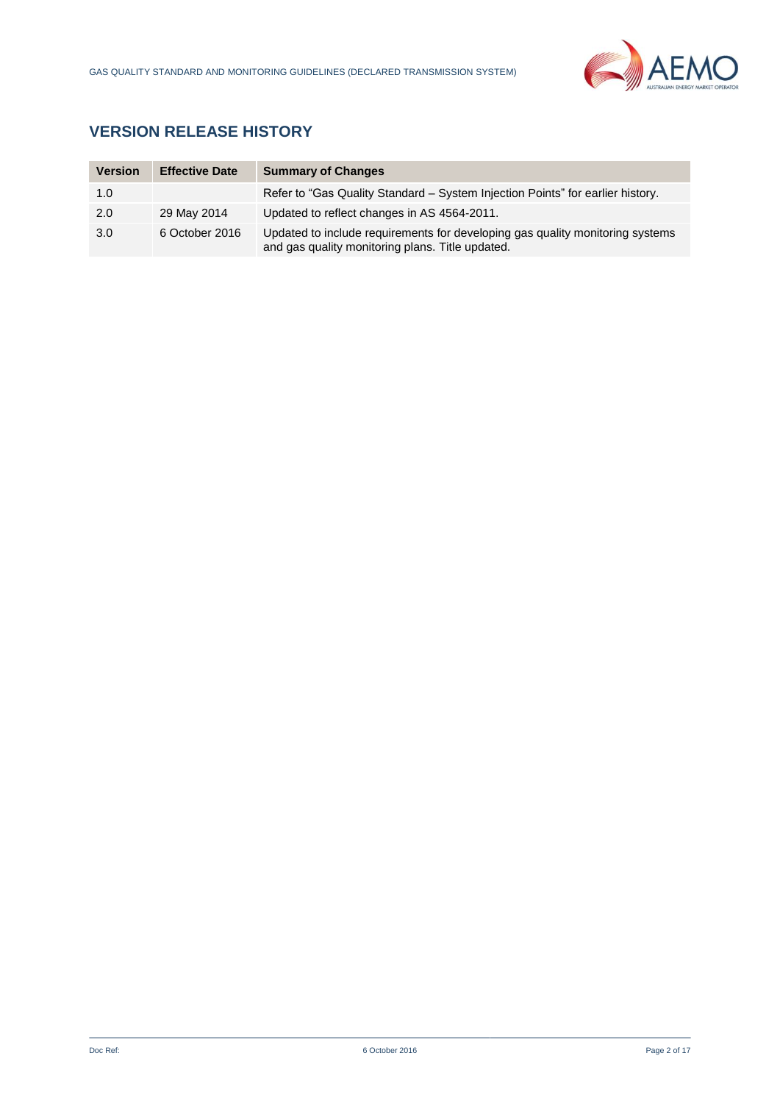

## **VERSION RELEASE HISTORY**

| <b>Version</b> | <b>Effective Date</b> | <b>Summary of Changes</b>                                                                                                         |
|----------------|-----------------------|-----------------------------------------------------------------------------------------------------------------------------------|
| 1.0            |                       | Refer to "Gas Quality Standard – System Injection Points" for earlier history.                                                    |
| 2.0            | 29 May 2014           | Updated to reflect changes in AS 4564-2011.                                                                                       |
| 3.0            | 6 October 2016        | Updated to include requirements for developing gas quality monitoring systems<br>and gas quality monitoring plans. Title updated. |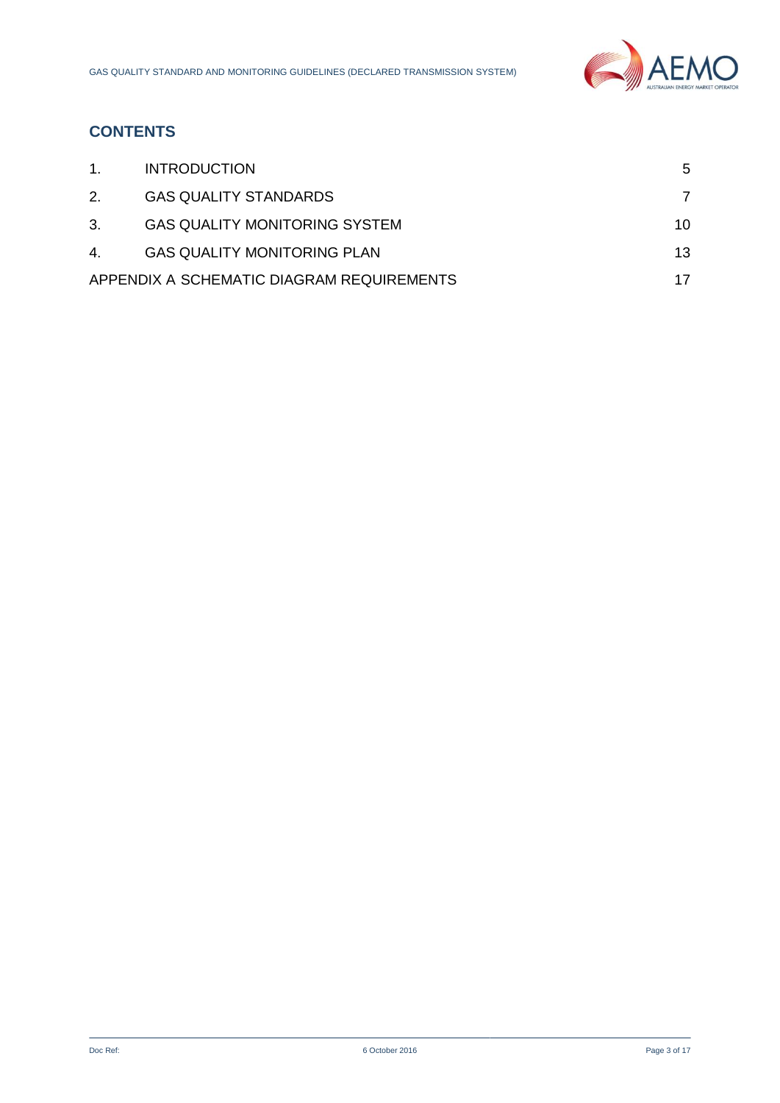

## **CONTENTS**

| $1_{-}$ | <b>INTRODUCTION</b>                       | 5  |
|---------|-------------------------------------------|----|
| 2.      | <b>GAS QUALITY STANDARDS</b>              |    |
| 3.      | <b>GAS QUALITY MONITORING SYSTEM</b>      | 10 |
| 4.      | <b>GAS QUALITY MONITORING PLAN</b>        | 13 |
|         | APPENDIX A SCHEMATIC DIAGRAM REQUIREMENTS |    |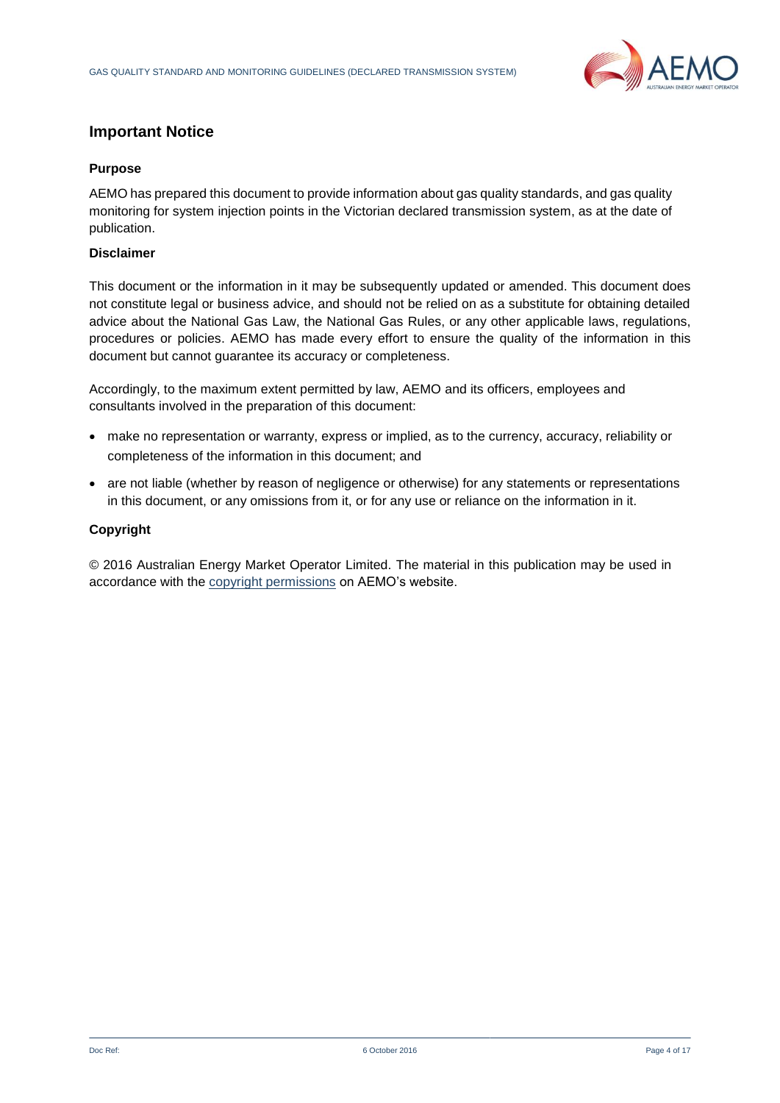

## **Important Notice**

#### **Purpose**

AEMO has prepared this document to provide information about gas quality standards, and gas quality monitoring for system injection points in the Victorian declared transmission system, as at the date of publication.

#### **Disclaimer**

This document or the information in it may be subsequently updated or amended. This document does not constitute legal or business advice, and should not be relied on as a substitute for obtaining detailed advice about the National Gas Law, the National Gas Rules, or any other applicable laws, regulations, procedures or policies. AEMO has made every effort to ensure the quality of the information in this document but cannot guarantee its accuracy or completeness.

Accordingly, to the maximum extent permitted by law, AEMO and its officers, employees and consultants involved in the preparation of this document:

- make no representation or warranty, express or implied, as to the currency, accuracy, reliability or completeness of the information in this document; and
- are not liable (whether by reason of negligence or otherwise) for any statements or representations in this document, or any omissions from it, or for any use or reliance on the information in it.

#### **Copyright**

© 2016 Australian Energy Market Operator Limited. The material in this publication may be used in accordance with the [copyright permissions](http://www.aemo.com.au/en/About-AEMO/Copyright-Permissions) on AEMO's website.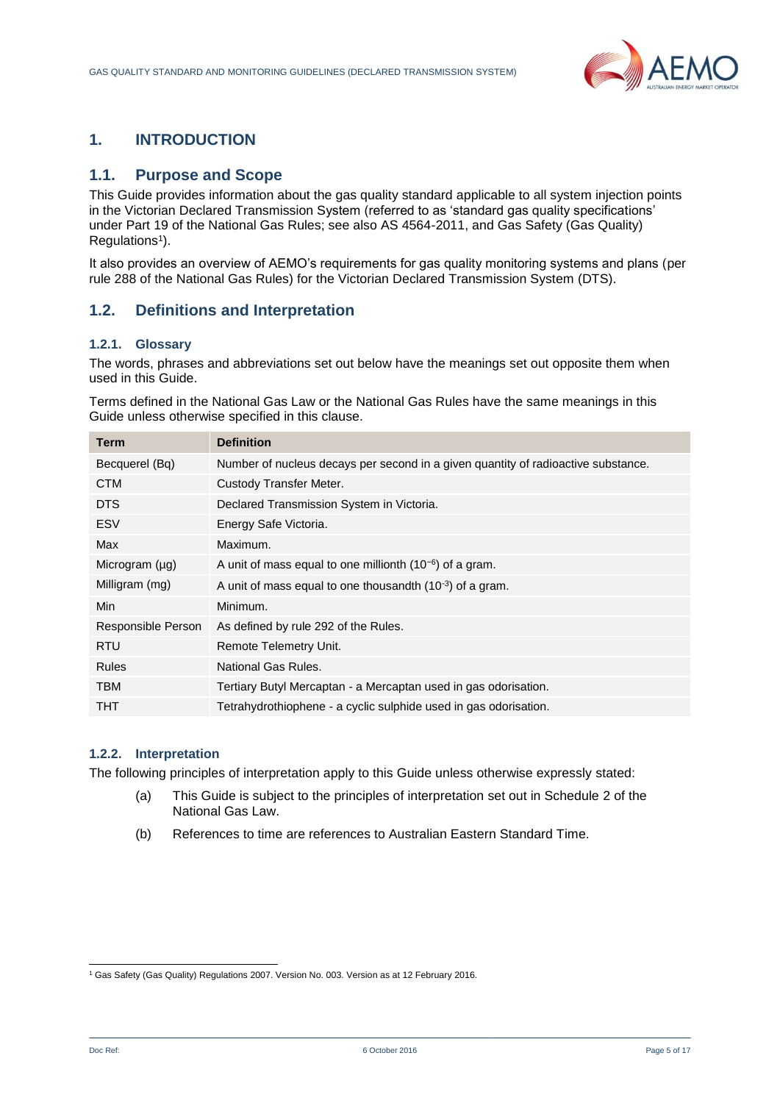

## <span id="page-4-0"></span>**1. INTRODUCTION**

## **1.1. Purpose and Scope**

This Guide provides information about the gas quality standard applicable to all system injection points in the Victorian Declared Transmission System (referred to as 'standard gas quality specifications' under Part 19 of the National Gas Rules; see also AS 4564-2011, and Gas Safety (Gas Quality) Regulations<sup>1</sup>).

It also provides an overview of AEMO's requirements for gas quality monitoring systems and plans (per rule 288 of the National Gas Rules) for the Victorian Declared Transmission System (DTS).

## **1.2. Definitions and Interpretation**

#### **1.2.1. Glossary**

The words, phrases and abbreviations set out below have the meanings set out opposite them when used in this Guide.

Terms defined in the National Gas Law or the National Gas Rules have the same meanings in this Guide unless otherwise specified in this clause.

| Term                | <b>Definition</b>                                                                 |
|---------------------|-----------------------------------------------------------------------------------|
| Becquerel (Bq)      | Number of nucleus decays per second in a given quantity of radioactive substance. |
| <b>CTM</b>          | Custody Transfer Meter.                                                           |
| <b>DTS</b>          | Declared Transmission System in Victoria.                                         |
| <b>ESV</b>          | Energy Safe Victoria.                                                             |
| Max                 | Maximum.                                                                          |
| Microgram $(\mu g)$ | A unit of mass equal to one millionth $(10^{-6})$ of a gram.                      |
| Milligram (mg)      | A unit of mass equal to one thousandth $(10^{-3})$ of a gram.                     |
| Min                 | Minimum.                                                                          |
| Responsible Person  | As defined by rule 292 of the Rules.                                              |
| <b>RTU</b>          | Remote Telemetry Unit.                                                            |
| <b>Rules</b>        | National Gas Rules.                                                               |
| <b>TBM</b>          | Tertiary Butyl Mercaptan - a Mercaptan used in gas odorisation.                   |
| THT                 | Tetrahydrothiophene - a cyclic sulphide used in gas odorisation.                  |
|                     |                                                                                   |

#### **1.2.2. Interpretation**

The following principles of interpretation apply to this Guide unless otherwise expressly stated:

- (a) This Guide is subject to the principles of interpretation set out in Schedule 2 of the National Gas Law.
- (b) References to time are references to Australian Eastern Standard Time.

l <sup>1</sup> Gas Safety (Gas Quality) Regulations 2007. Version No. 003. Version as at 12 February 2016.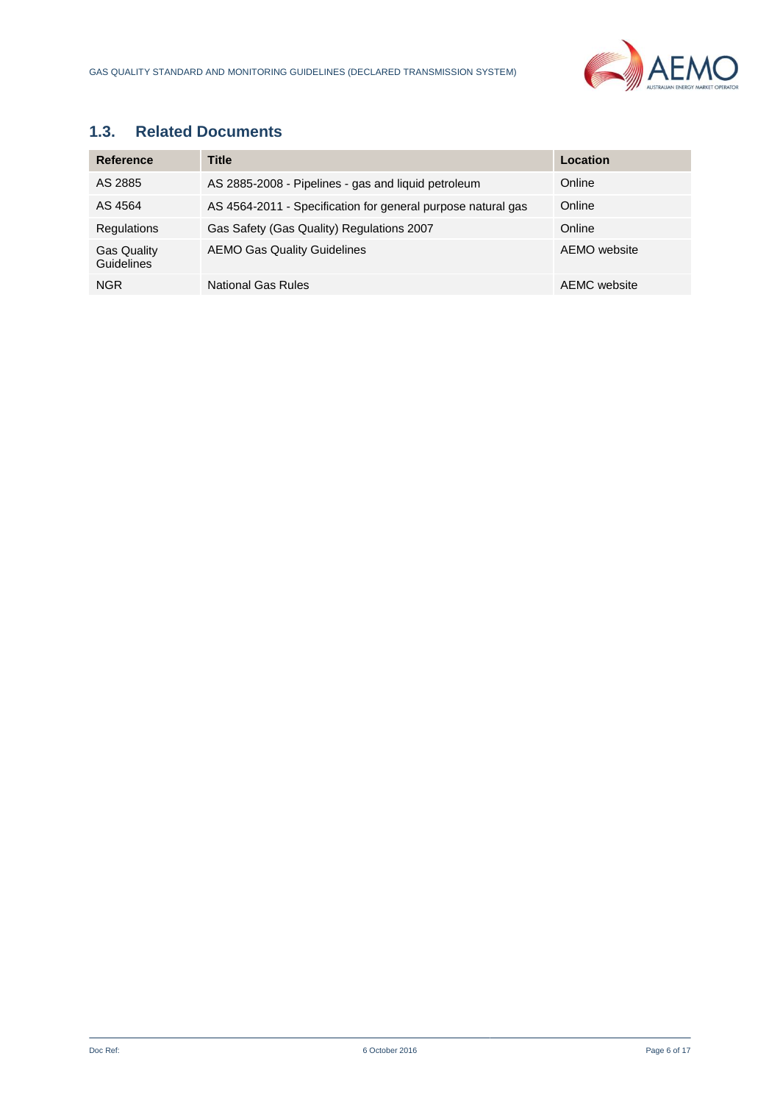

## **1.3. Related Documents**

| <b>Reference</b>                 | Title                                                        | Location     |
|----------------------------------|--------------------------------------------------------------|--------------|
| AS 2885                          | AS 2885-2008 - Pipelines - gas and liquid petroleum          | Online       |
| AS 4564                          | AS 4564-2011 - Specification for general purpose natural gas | Online       |
| Regulations                      | Gas Safety (Gas Quality) Regulations 2007                    | Online       |
| <b>Gas Quality</b><br>Guidelines | <b>AEMO Gas Quality Guidelines</b>                           | AEMO website |
| <b>NGR</b>                       | National Gas Rules                                           | AEMC website |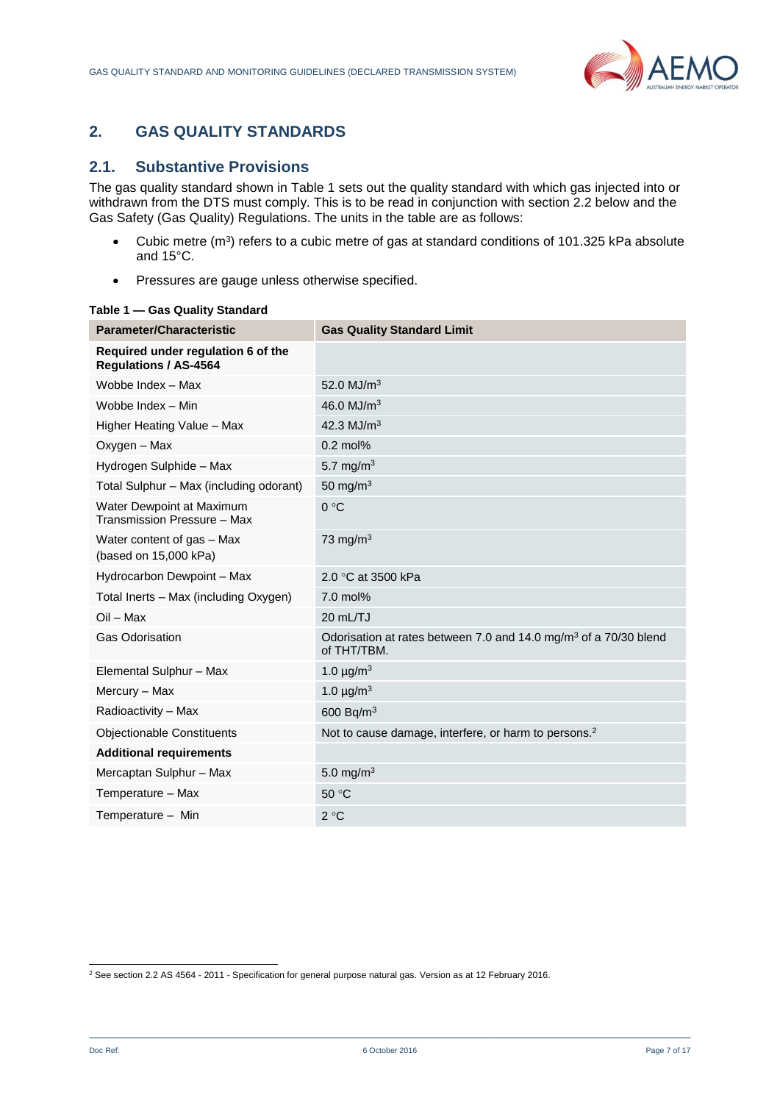

## <span id="page-6-0"></span>**2. GAS QUALITY STANDARDS**

## **2.1. Substantive Provisions**

The gas quality standard shown in Table 1 sets out the quality standard with which gas injected into or withdrawn from the DTS must comply. This is to be read in conjunction with section 2.2 below and the Gas Safety (Gas Quality) Regulations. The units in the table are as follows:

- Cubic metre ( $m^3$ ) refers to a cubic metre of gas at standard conditions of 101.325 kPa absolute and 15°C.
- Pressures are gauge unless otherwise specified.

| <b>Parameter/Characteristic</b>                                    | <b>Gas Quality Standard Limit</b>                                                           |
|--------------------------------------------------------------------|---------------------------------------------------------------------------------------------|
| Required under regulation 6 of the<br><b>Regulations / AS-4564</b> |                                                                                             |
| Wobbe Index - Max                                                  | 52.0 $MJ/m3$                                                                                |
| Wobbe Index - Min                                                  | 46.0 $MJ/m3$                                                                                |
| Higher Heating Value - Max                                         | 42.3 MJ/m <sup>3</sup>                                                                      |
| Oxygen - Max                                                       | $0.2$ mol%                                                                                  |
| Hydrogen Sulphide - Max                                            | 5.7 mg/m <sup>3</sup>                                                                       |
| Total Sulphur - Max (including odorant)                            | 50 mg/m $3$                                                                                 |
| Water Dewpoint at Maximum<br>Transmission Pressure - Max           | 0 °C                                                                                        |
| Water content of gas - Max<br>(based on 15,000 kPa)                | 73 mg/m $3$                                                                                 |
| Hydrocarbon Dewpoint - Max                                         | 2.0 °C at 3500 kPa                                                                          |
| Total Inerts - Max (including Oxygen)                              | $7.0$ mol%                                                                                  |
| $Oil - Max$                                                        | 20 mL/TJ                                                                                    |
| <b>Gas Odorisation</b>                                             | Odorisation at rates between 7.0 and 14.0 mg/m <sup>3</sup> of a 70/30 blend<br>of THT/TBM. |
| Elemental Sulphur - Max                                            | 1.0 $\mu$ g/m <sup>3</sup>                                                                  |
| Mercury - Max                                                      | 1.0 $\mu$ g/m <sup>3</sup>                                                                  |
| Radioactivity - Max                                                | 600 Bq/m <sup>3</sup>                                                                       |
| <b>Objectionable Constituents</b>                                  | Not to cause damage, interfere, or harm to persons. <sup>2</sup>                            |
| <b>Additional requirements</b>                                     |                                                                                             |
| Mercaptan Sulphur - Max                                            | 5.0 mg/m <sup>3</sup>                                                                       |
| Temperature - Max                                                  | 50 °C                                                                                       |
| Temperature - Min                                                  | 2 °C                                                                                        |

#### **Table 1 — Gas Quality Standard**

l <sup>2</sup> See section 2.2 AS 4564 - 2011 - Specification for general purpose natural gas. Version as at 12 February 2016.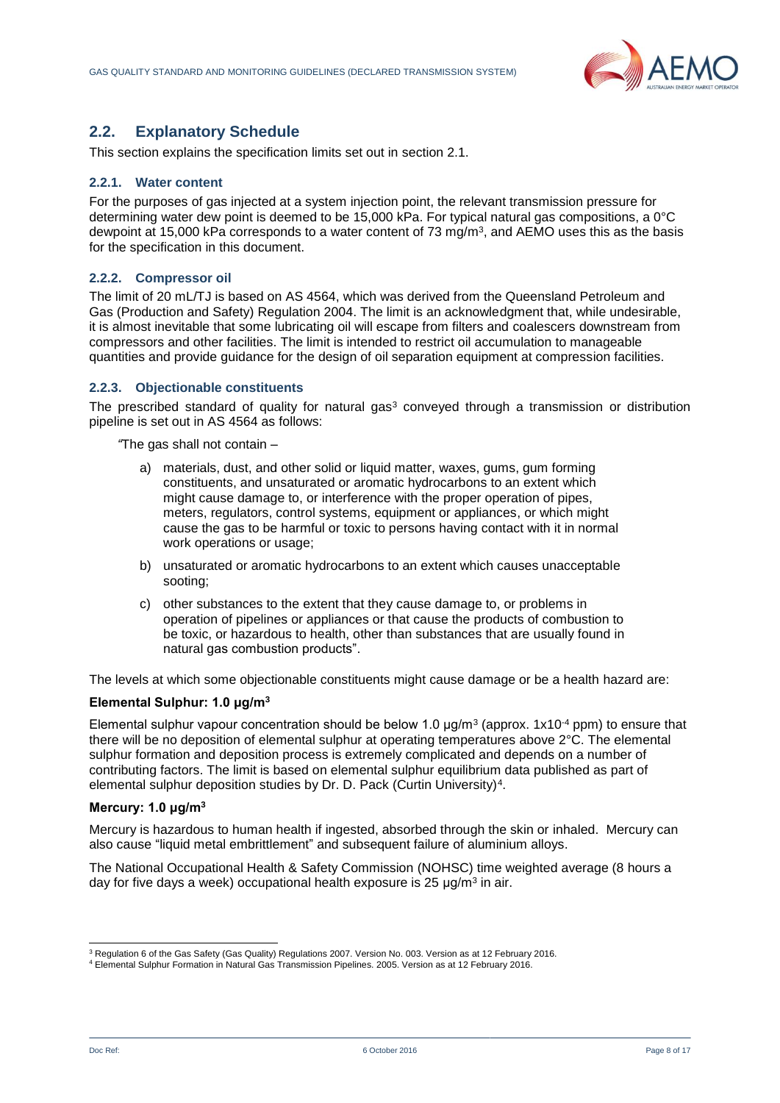

## **2.2. Explanatory Schedule**

This section explains the specification limits set out in section 2.1.

#### **2.2.1. Water content**

For the purposes of gas injected at a system injection point, the relevant transmission pressure for determining water dew point is deemed to be 15,000 kPa. For typical natural gas compositions, a 0°C dewpoint at 15,000 kPa corresponds to a water content of 73 mg/m<sup>3</sup>, and AEMO uses this as the basis for the specification in this document.

#### **2.2.2. Compressor oil**

The limit of 20 mL/TJ is based on AS 4564, which was derived from the Queensland Petroleum and Gas (Production and Safety) Regulation 2004. The limit is an acknowledgment that, while undesirable, it is almost inevitable that some lubricating oil will escape from filters and coalescers downstream from compressors and other facilities. The limit is intended to restrict oil accumulation to manageable quantities and provide guidance for the design of oil separation equipment at compression facilities.

#### **2.2.3. Objectionable constituents**

The prescribed standard of quality for natural gas<sup>3</sup> conveyed through a transmission or distribution pipeline is set out in AS 4564 as follows:

*"*The gas shall not contain –

- a) materials, dust, and other solid or liquid matter, waxes, gums, gum forming constituents, and unsaturated or aromatic hydrocarbons to an extent which might cause damage to, or interference with the proper operation of pipes, meters, regulators, control systems, equipment or appliances, or which might cause the gas to be harmful or toxic to persons having contact with it in normal work operations or usage;
- b) unsaturated or aromatic hydrocarbons to an extent which causes unacceptable sooting;
- c) other substances to the extent that they cause damage to, or problems in operation of pipelines or appliances or that cause the products of combustion to be toxic, or hazardous to health, other than substances that are usually found in natural gas combustion products".

The levels at which some objectionable constituents might cause damage or be a health hazard are:

#### **Elemental Sulphur: 1.0 μg/m<sup>3</sup>**

Elemental sulphur vapour concentration should be below 1.0  $\mu$ g/m<sup>3</sup> (approx. 1x10<sup>-4</sup> ppm) to ensure that there will be no deposition of elemental sulphur at operating temperatures above 2°C. The elemental sulphur formation and deposition process is extremely complicated and depends on a number of contributing factors. The limit is based on elemental sulphur equilibrium data published as part of elemental sulphur deposition studies by Dr. D. Pack (Curtin University)<sup>4</sup>.

#### **Mercury: 1.0 μg/m<sup>3</sup>**

Mercury is hazardous to human health if ingested, absorbed through the skin or inhaled. Mercury can also cause "liquid metal embrittlement" and subsequent failure of aluminium alloys.

The National Occupational Health & Safety Commission (NOHSC) time weighted average (8 hours a day for five days a week) occupational health exposure is 25 μg/m<sup>3</sup> in air.

l

<sup>&</sup>lt;sup>3</sup> Regulation 6 of the Gas Safety (Gas Quality) Regulations 2007. Version No. 003. Version as at 12 February 2016.

<sup>4</sup> Elemental Sulphur Formation in Natural Gas Transmission Pipelines. 2005. Version as at 12 February 2016.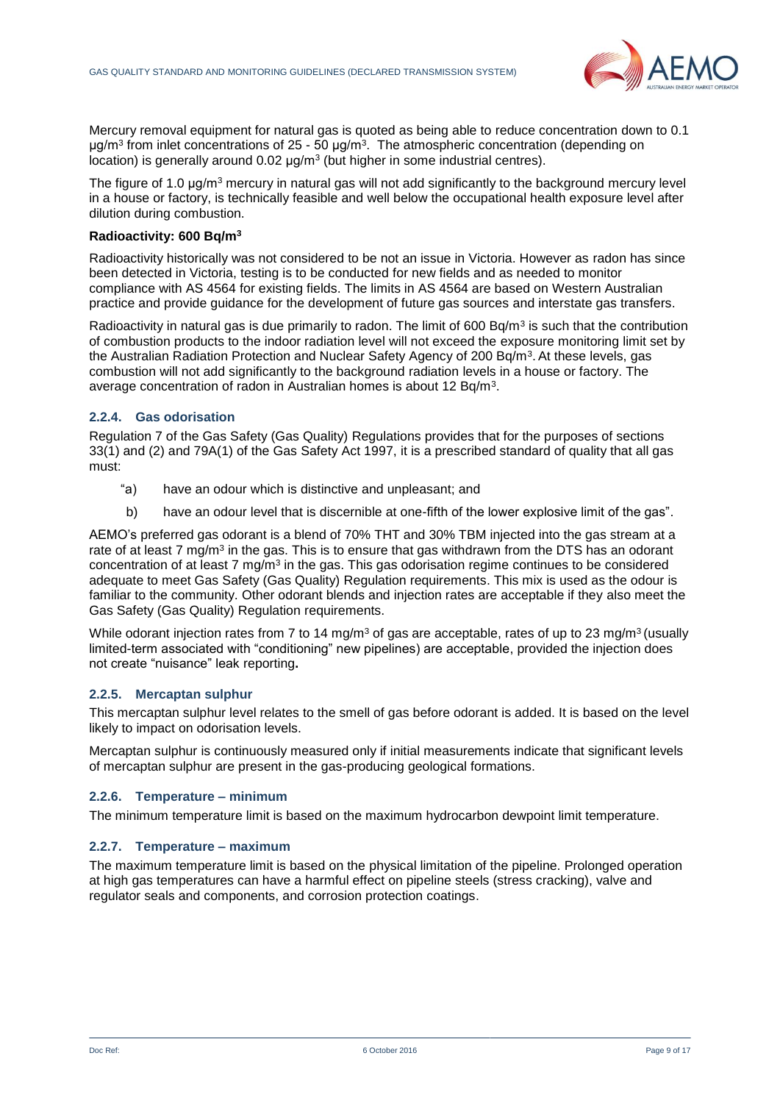

Mercury removal equipment for natural gas is quoted as being able to reduce concentration down to 0.1 μg/m<sup>3</sup> from inlet concentrations of 25 - 50 μg/m<sup>3</sup>. The atmospheric concentration (depending on location) is generally around 0.02 μg/m<sup>3</sup> (but higher in some industrial centres).

The figure of 1.0 μg/m<sup>3</sup> mercury in natural gas will not add significantly to the background mercury level in a house or factory, is technically feasible and well below the occupational health exposure level after dilution during combustion.

#### **Radioactivity: 600 Bq/m<sup>3</sup>**

Radioactivity historically was not considered to be not an issue in Victoria. However as radon has since been detected in Victoria, testing is to be conducted for new fields and as needed to monitor compliance with AS 4564 for existing fields. The limits in AS 4564 are based on Western Australian practice and provide guidance for the development of future gas sources and interstate gas transfers.

Radioactivity in natural gas is due primarily to radon. The limit of 600 Bq/m<sup>3</sup> is such that the contribution of combustion products to the indoor radiation level will not exceed the exposure monitoring limit set by the Australian Radiation Protection and Nuclear Safety Agency of 200 Bq/m<sup>3</sup>. At these levels, gas combustion will not add significantly to the background radiation levels in a house or factory. The average concentration of radon in Australian homes is about 12 Bq/m<sup>3</sup>.

#### **2.2.4. Gas odorisation**

Regulation 7 of the Gas Safety (Gas Quality) Regulations provides that for the purposes of sections 33(1) and (2) and 79A(1) of the Gas Safety Act 1997, it is a prescribed standard of quality that all gas must:

- "a) have an odour which is distinctive and unpleasant; and
- b) have an odour level that is discernible at one-fifth of the lower explosive limit of the gas".

AEMO's preferred gas odorant is a blend of 70% THT and 30% TBM injected into the gas stream at a rate of at least 7 mg/m<sup>3</sup> in the gas. This is to ensure that gas withdrawn from the DTS has an odorant concentration of at least 7 mg/m<sup>3</sup> in the gas. This gas odorisation regime continues to be considered adequate to meet Gas Safety (Gas Quality) Regulation requirements. This mix is used as the odour is familiar to the community. Other odorant blends and injection rates are acceptable if they also meet the Gas Safety (Gas Quality) Regulation requirements.

While odorant injection rates from 7 to 14 mg/m<sup>3</sup> of gas are acceptable, rates of up to 23 mg/m<sup>3</sup> (usually limited-term associated with "conditioning" new pipelines) are acceptable, provided the injection does not create "nuisance" leak reporting**.**

#### **2.2.5. Mercaptan sulphur**

This mercaptan sulphur level relates to the smell of gas before odorant is added. It is based on the level likely to impact on odorisation levels.

Mercaptan sulphur is continuously measured only if initial measurements indicate that significant levels of mercaptan sulphur are present in the gas-producing geological formations.

#### **2.2.6. Temperature – minimum**

The minimum temperature limit is based on the maximum hydrocarbon dewpoint limit temperature.

#### **2.2.7. Temperature – maximum**

The maximum temperature limit is based on the physical limitation of the pipeline. Prolonged operation at high gas temperatures can have a harmful effect on pipeline steels (stress cracking), valve and regulator seals and components, and corrosion protection coatings.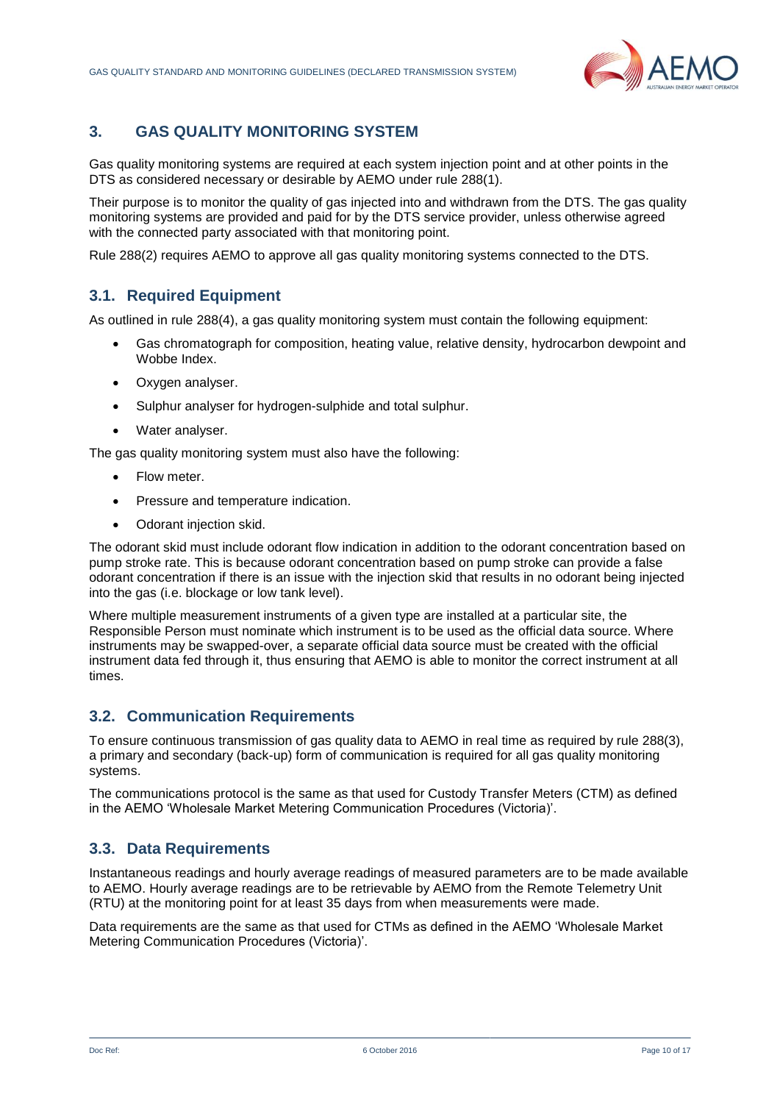

## <span id="page-9-0"></span>**3. GAS QUALITY MONITORING SYSTEM**

Gas quality monitoring systems are required at each system injection point and at other points in the DTS as considered necessary or desirable by AEMO under rule 288(1).

Their purpose is to monitor the quality of gas injected into and withdrawn from the DTS. The gas quality monitoring systems are provided and paid for by the DTS service provider, unless otherwise agreed with the connected party associated with that monitoring point.

Rule 288(2) requires AEMO to approve all gas quality monitoring systems connected to the DTS.

## **3.1. Required Equipment**

As outlined in rule 288(4), a gas quality monitoring system must contain the following equipment:

- Gas chromatograph for composition, heating value, relative density, hydrocarbon dewpoint and Wobbe Index.
- Oxygen analyser.
- Sulphur analyser for hydrogen-sulphide and total sulphur.
- Water analyser.

The gas quality monitoring system must also have the following:

- Flow meter.
- Pressure and temperature indication.
- Odorant injection skid.

The odorant skid must include odorant flow indication in addition to the odorant concentration based on pump stroke rate. This is because odorant concentration based on pump stroke can provide a false odorant concentration if there is an issue with the injection skid that results in no odorant being injected into the gas (i.e. blockage or low tank level).

Where multiple measurement instruments of a given type are installed at a particular site, the Responsible Person must nominate which instrument is to be used as the official data source. Where instruments may be swapped-over, a separate official data source must be created with the official instrument data fed through it, thus ensuring that AEMO is able to monitor the correct instrument at all times.

## **3.2. Communication Requirements**

To ensure continuous transmission of gas quality data to AEMO in real time as required by rule 288(3), a primary and secondary (back-up) form of communication is required for all gas quality monitoring systems.

The communications protocol is the same as that used for Custody Transfer Meters (CTM) as defined in the AEMO 'Wholesale Market Metering Communication Procedures (Victoria)'.

## **3.3. Data Requirements**

Instantaneous readings and hourly average readings of measured parameters are to be made available to AEMO. Hourly average readings are to be retrievable by AEMO from the Remote Telemetry Unit (RTU) at the monitoring point for at least 35 days from when measurements were made.

Data requirements are the same as that used for CTMs as defined in the AEMO 'Wholesale Market Metering Communication Procedures (Victoria)'.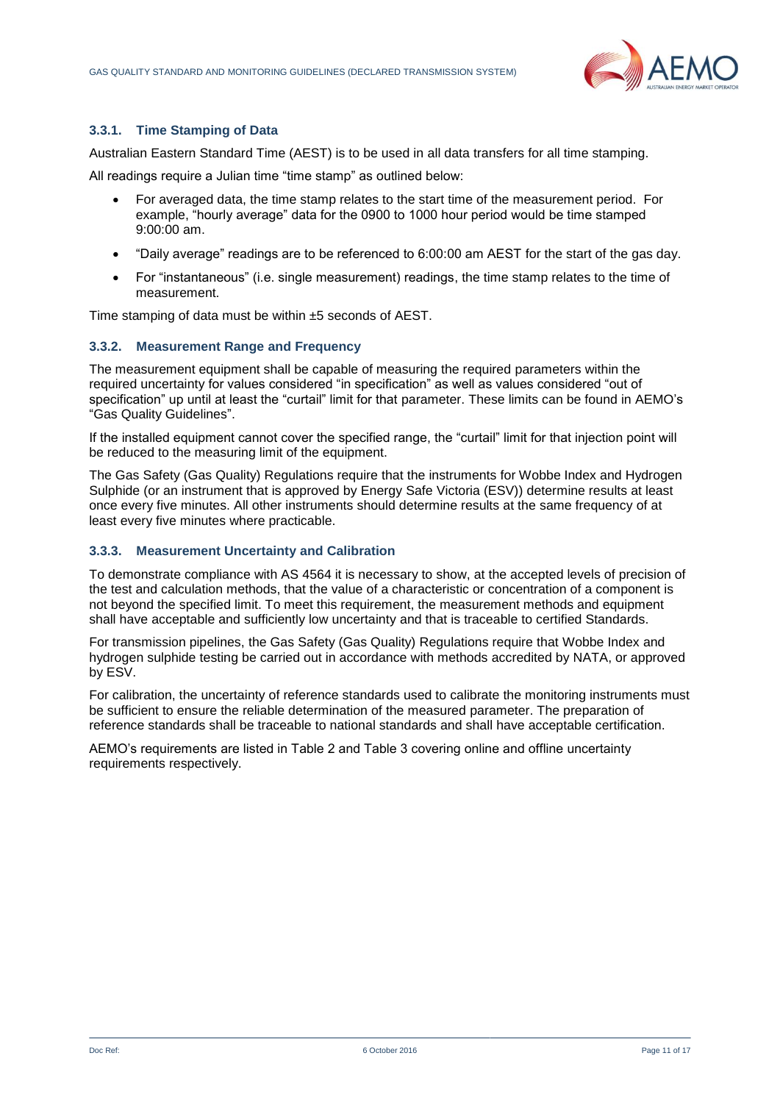

#### **3.3.1. Time Stamping of Data**

Australian Eastern Standard Time (AEST) is to be used in all data transfers for all time stamping.

All readings require a Julian time "time stamp" as outlined below:

- For averaged data, the time stamp relates to the start time of the measurement period. For example, "hourly average" data for the 0900 to 1000 hour period would be time stamped 9:00:00 am.
- "Daily average" readings are to be referenced to 6:00:00 am AEST for the start of the gas day.
- For "instantaneous" (i.e. single measurement) readings, the time stamp relates to the time of measurement.

Time stamping of data must be within ±5 seconds of AEST.

#### **3.3.2. Measurement Range and Frequency**

The measurement equipment shall be capable of measuring the required parameters within the required uncertainty for values considered "in specification" as well as values considered "out of specification" up until at least the "curtail" limit for that parameter. These limits can be found in AEMO's "Gas Quality Guidelines".

If the installed equipment cannot cover the specified range, the "curtail" limit for that injection point will be reduced to the measuring limit of the equipment.

The Gas Safety (Gas Quality) Regulations require that the instruments for Wobbe Index and Hydrogen Sulphide (or an instrument that is approved by Energy Safe Victoria (ESV)) determine results at least once every five minutes. All other instruments should determine results at the same frequency of at least every five minutes where practicable.

#### **3.3.3. Measurement Uncertainty and Calibration**

To demonstrate compliance with AS 4564 it is necessary to show, at the accepted levels of precision of the test and calculation methods, that the value of a characteristic or concentration of a component is not beyond the specified limit. To meet this requirement, the measurement methods and equipment shall have acceptable and sufficiently low uncertainty and that is traceable to certified Standards.

For transmission pipelines, the Gas Safety (Gas Quality) Regulations require that Wobbe Index and hydrogen sulphide testing be carried out in accordance with methods accredited by NATA, or approved by ESV.

For calibration, the uncertainty of reference standards used to calibrate the monitoring instruments must be sufficient to ensure the reliable determination of the measured parameter. The preparation of reference standards shall be traceable to national standards and shall have acceptable certification.

AEMO's requirements are listed in Table 2 and Table 3 covering online and offline uncertainty requirements respectively.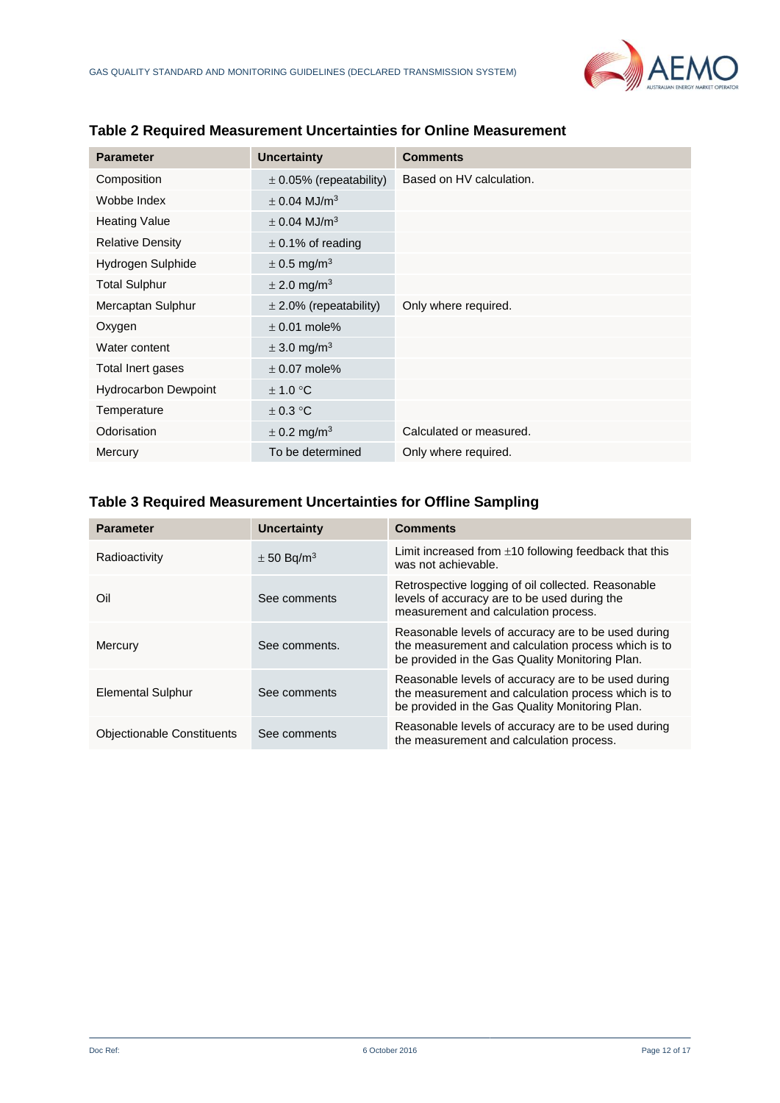

| <b>Parameter</b>            | <b>Uncertainty</b>           | <b>Comments</b>          |
|-----------------------------|------------------------------|--------------------------|
| Composition                 | $\pm$ 0.05% (repeatability)  | Based on HV calculation. |
| Wobbe Index                 | $\pm$ 0.04 MJ/m <sup>3</sup> |                          |
| <b>Heating Value</b>        | $\pm$ 0.04 MJ/m <sup>3</sup> |                          |
| <b>Relative Density</b>     | $\pm$ 0.1% of reading        |                          |
| Hydrogen Sulphide           | $\pm$ 0.5 mg/m <sup>3</sup>  |                          |
| <b>Total Sulphur</b>        | $\pm$ 2.0 mg/m <sup>3</sup>  |                          |
| Mercaptan Sulphur           | $\pm$ 2.0% (repeatability)   | Only where required.     |
| Oxygen                      | $\pm$ 0.01 mole%             |                          |
| Water content               | $\pm$ 3.0 mg/m <sup>3</sup>  |                          |
| Total Inert gases           | $\pm$ 0.07 mole%             |                          |
| <b>Hydrocarbon Dewpoint</b> | $\pm$ 1.0 °C                 |                          |
| Temperature                 | ± 0.3 °C                     |                          |
| Odorisation                 | $\pm$ 0.2 mg/m <sup>3</sup>  | Calculated or measured.  |
| Mercury                     | To be determined             | Only where required.     |

## **Table 2 Required Measurement Uncertainties for Online Measurement**

## **Table 3 Required Measurement Uncertainties for Offline Sampling**

| <b>Parameter</b>                  | Uncertainty                | <b>Comments</b>                                                                                                                                               |
|-----------------------------------|----------------------------|---------------------------------------------------------------------------------------------------------------------------------------------------------------|
| Radioactivity                     | $\pm$ 50 Bg/m <sup>3</sup> | Limit increased from $\pm$ 10 following feedback that this<br>was not achievable.                                                                             |
| Oil                               | See comments               | Retrospective logging of oil collected. Reasonable<br>levels of accuracy are to be used during the<br>measurement and calculation process.                    |
| Mercury                           | See comments.              | Reasonable levels of accuracy are to be used during<br>the measurement and calculation process which is to<br>be provided in the Gas Quality Monitoring Plan. |
| <b>Elemental Sulphur</b>          | See comments               | Reasonable levels of accuracy are to be used during<br>the measurement and calculation process which is to<br>be provided in the Gas Quality Monitoring Plan. |
| <b>Objectionable Constituents</b> | See comments               | Reasonable levels of accuracy are to be used during<br>the measurement and calculation process.                                                               |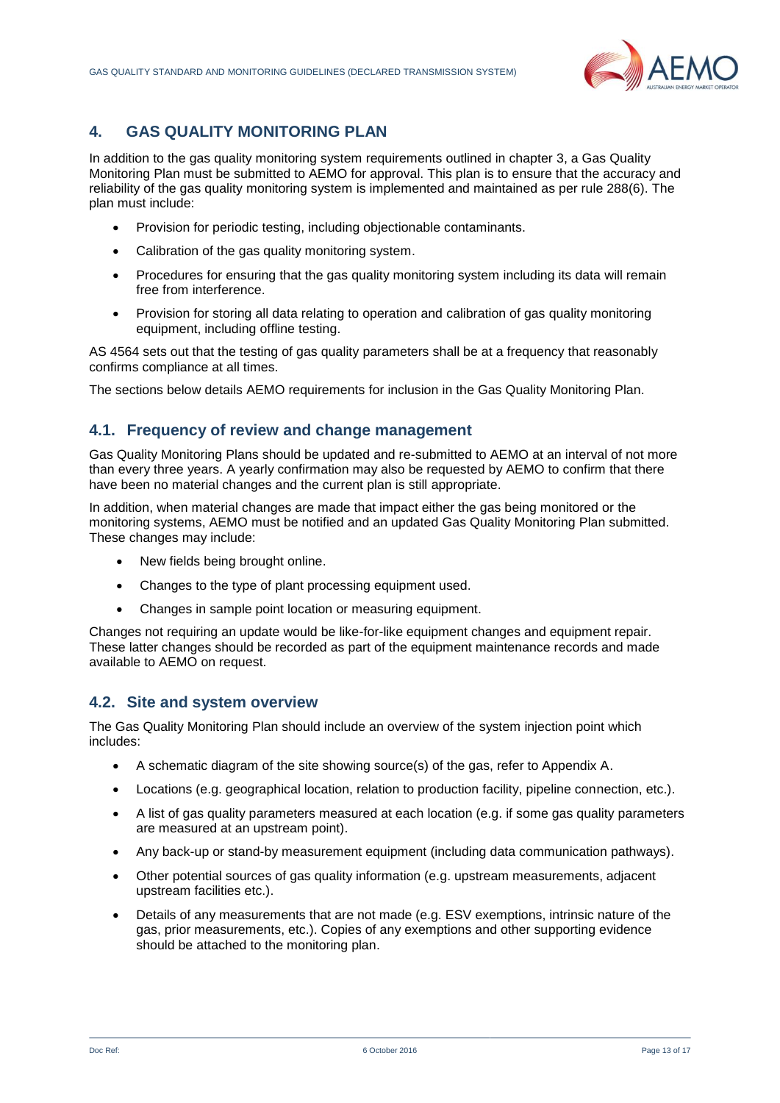

## <span id="page-12-0"></span>**4. GAS QUALITY MONITORING PLAN**

In addition to the gas quality monitoring system requirements outlined in chapter 3, a Gas Quality Monitoring Plan must be submitted to AEMO for approval. This plan is to ensure that the accuracy and reliability of the gas quality monitoring system is implemented and maintained as per rule 288(6). The plan must include:

- Provision for periodic testing, including objectionable contaminants.
- Calibration of the gas quality monitoring system.
- Procedures for ensuring that the gas quality monitoring system including its data will remain free from interference.
- Provision for storing all data relating to operation and calibration of gas quality monitoring equipment, including offline testing.

AS 4564 sets out that the testing of gas quality parameters shall be at a frequency that reasonably confirms compliance at all times.

The sections below details AEMO requirements for inclusion in the Gas Quality Monitoring Plan.

## **4.1. Frequency of review and change management**

Gas Quality Monitoring Plans should be updated and re-submitted to AEMO at an interval of not more than every three years. A yearly confirmation may also be requested by AEMO to confirm that there have been no material changes and the current plan is still appropriate.

In addition, when material changes are made that impact either the gas being monitored or the monitoring systems, AEMO must be notified and an updated Gas Quality Monitoring Plan submitted. These changes may include:

- New fields being brought online.
- Changes to the type of plant processing equipment used.
- Changes in sample point location or measuring equipment.

Changes not requiring an update would be like-for-like equipment changes and equipment repair. These latter changes should be recorded as part of the equipment maintenance records and made available to AEMO on request.

#### **4.2. Site and system overview**

The Gas Quality Monitoring Plan should include an overview of the system injection point which includes:

- A schematic diagram of the site showing source(s) of the gas, refer to Appendix A.
- Locations (e.g. geographical location, relation to production facility, pipeline connection, etc.).
- A list of gas quality parameters measured at each location (e.g. if some gas quality parameters are measured at an upstream point).
- Any back-up or stand-by measurement equipment (including data communication pathways).
- Other potential sources of gas quality information (e.g. upstream measurements, adjacent upstream facilities etc.).
- Details of any measurements that are not made (e.g. ESV exemptions, intrinsic nature of the gas, prior measurements, etc.). Copies of any exemptions and other supporting evidence should be attached to the monitoring plan.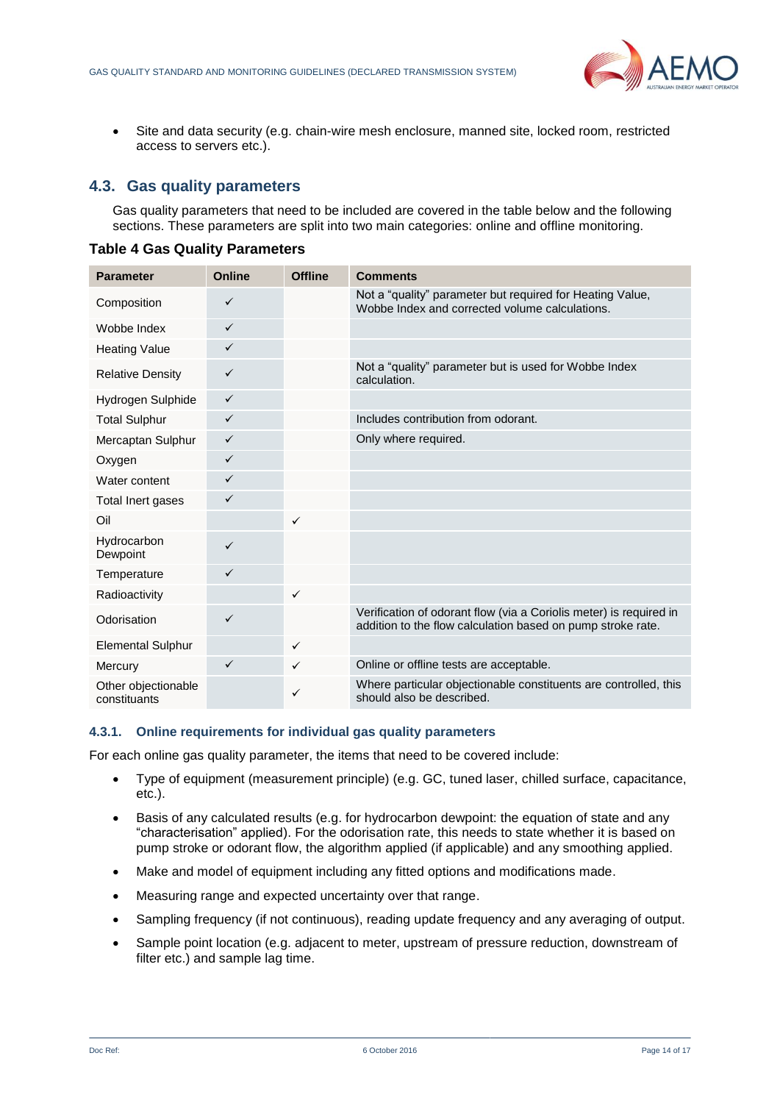

 Site and data security (e.g. chain-wire mesh enclosure, manned site, locked room, restricted access to servers etc.).

## **4.3. Gas quality parameters**

Gas quality parameters that need to be included are covered in the table below and the following sections. These parameters are split into two main categories: online and offline monitoring.

| <b>Parameter</b>                    | <b>Online</b> | <b>Offline</b> | <b>Comments</b>                                                                                                                   |
|-------------------------------------|---------------|----------------|-----------------------------------------------------------------------------------------------------------------------------------|
| Composition                         | $\checkmark$  |                | Not a "quality" parameter but required for Heating Value,<br>Wobbe Index and corrected volume calculations.                       |
| Wobbe Index                         | $\checkmark$  |                |                                                                                                                                   |
| <b>Heating Value</b>                | $\checkmark$  |                |                                                                                                                                   |
| <b>Relative Density</b>             | $\checkmark$  |                | Not a "quality" parameter but is used for Wobbe Index<br>calculation.                                                             |
| Hydrogen Sulphide                   | $\checkmark$  |                |                                                                                                                                   |
| <b>Total Sulphur</b>                | $\checkmark$  |                | Includes contribution from odorant.                                                                                               |
| Mercaptan Sulphur                   | $\checkmark$  |                | Only where required.                                                                                                              |
| Oxygen                              | $\checkmark$  |                |                                                                                                                                   |
| Water content                       | $\checkmark$  |                |                                                                                                                                   |
| Total Inert gases                   | $\checkmark$  |                |                                                                                                                                   |
| Oil                                 |               | $\checkmark$   |                                                                                                                                   |
| Hydrocarbon<br>Dewpoint             | $\checkmark$  |                |                                                                                                                                   |
| Temperature                         | $\checkmark$  |                |                                                                                                                                   |
| Radioactivity                       |               | $\checkmark$   |                                                                                                                                   |
| Odorisation                         | $\checkmark$  |                | Verification of odorant flow (via a Coriolis meter) is required in<br>addition to the flow calculation based on pump stroke rate. |
| <b>Elemental Sulphur</b>            |               | $\checkmark$   |                                                                                                                                   |
| Mercury                             | $\checkmark$  | ✓              | Online or offline tests are acceptable.                                                                                           |
| Other objectionable<br>constituants |               | ✓              | Where particular objectionable constituents are controlled, this<br>should also be described.                                     |

#### **Table 4 Gas Quality Parameters**

#### **4.3.1. Online requirements for individual gas quality parameters**

For each online gas quality parameter, the items that need to be covered include:

- Type of equipment (measurement principle) (e.g. GC, tuned laser, chilled surface, capacitance, etc.).
- Basis of any calculated results (e.g. for hydrocarbon dewpoint: the equation of state and any "characterisation" applied). For the odorisation rate, this needs to state whether it is based on pump stroke or odorant flow, the algorithm applied (if applicable) and any smoothing applied.
- Make and model of equipment including any fitted options and modifications made.
- Measuring range and expected uncertainty over that range.
- Sampling frequency (if not continuous), reading update frequency and any averaging of output.
- Sample point location (e.g. adjacent to meter, upstream of pressure reduction, downstream of filter etc.) and sample lag time.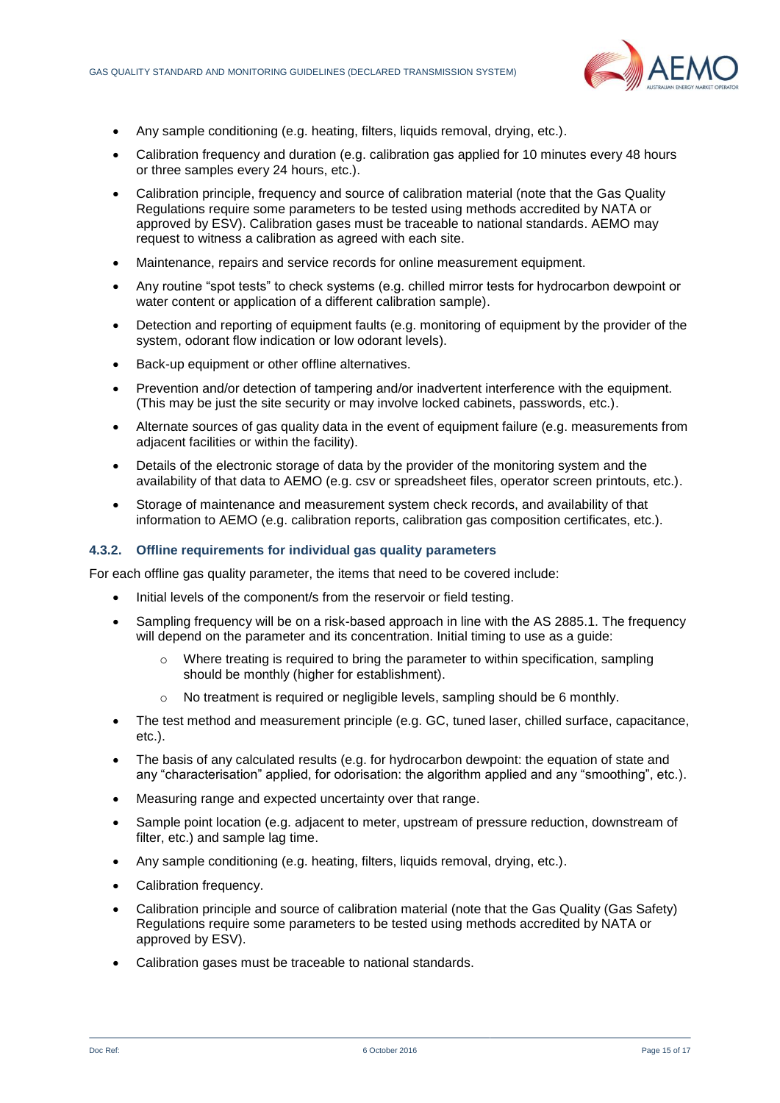

- Any sample conditioning (e.g. heating, filters, liquids removal, drying, etc.).
- Calibration frequency and duration (e.g. calibration gas applied for 10 minutes every 48 hours or three samples every 24 hours, etc.).
- Calibration principle, frequency and source of calibration material (note that the Gas Quality Regulations require some parameters to be tested using methods accredited by NATA or approved by ESV). Calibration gases must be traceable to national standards. AEMO may request to witness a calibration as agreed with each site.
- Maintenance, repairs and service records for online measurement equipment.
- Any routine "spot tests" to check systems (e.g. chilled mirror tests for hydrocarbon dewpoint or water content or application of a different calibration sample).
- Detection and reporting of equipment faults (e.g. monitoring of equipment by the provider of the system, odorant flow indication or low odorant levels).
- Back-up equipment or other offline alternatives.
- Prevention and/or detection of tampering and/or inadvertent interference with the equipment. (This may be just the site security or may involve locked cabinets, passwords, etc.).
- Alternate sources of gas quality data in the event of equipment failure (e.g. measurements from adjacent facilities or within the facility).
- Details of the electronic storage of data by the provider of the monitoring system and the availability of that data to AEMO (e.g. csv or spreadsheet files, operator screen printouts, etc.).
- Storage of maintenance and measurement system check records, and availability of that information to AEMO (e.g. calibration reports, calibration gas composition certificates, etc.).

#### **4.3.2. Offline requirements for individual gas quality parameters**

For each offline gas quality parameter, the items that need to be covered include:

- Initial levels of the component/s from the reservoir or field testing.
- Sampling frequency will be on a risk-based approach in line with the AS 2885.1. The frequency will depend on the parameter and its concentration. Initial timing to use as a guide:
	- $\circ$  Where treating is required to bring the parameter to within specification, sampling should be monthly (higher for establishment).
	- $\circ$  No treatment is required or negligible levels, sampling should be 6 monthly.
- The test method and measurement principle (e.g. GC, tuned laser, chilled surface, capacitance, etc.).
- The basis of any calculated results (e.g. for hydrocarbon dewpoint: the equation of state and any "characterisation" applied, for odorisation: the algorithm applied and any "smoothing", etc.).
- Measuring range and expected uncertainty over that range.
- Sample point location (e.g. adjacent to meter, upstream of pressure reduction, downstream of filter, etc.) and sample lag time.
- Any sample conditioning (e.g. heating, filters, liquids removal, drying, etc.).
- Calibration frequency.
- Calibration principle and source of calibration material (note that the Gas Quality (Gas Safety) Regulations require some parameters to be tested using methods accredited by NATA or approved by ESV).
- Calibration gases must be traceable to national standards.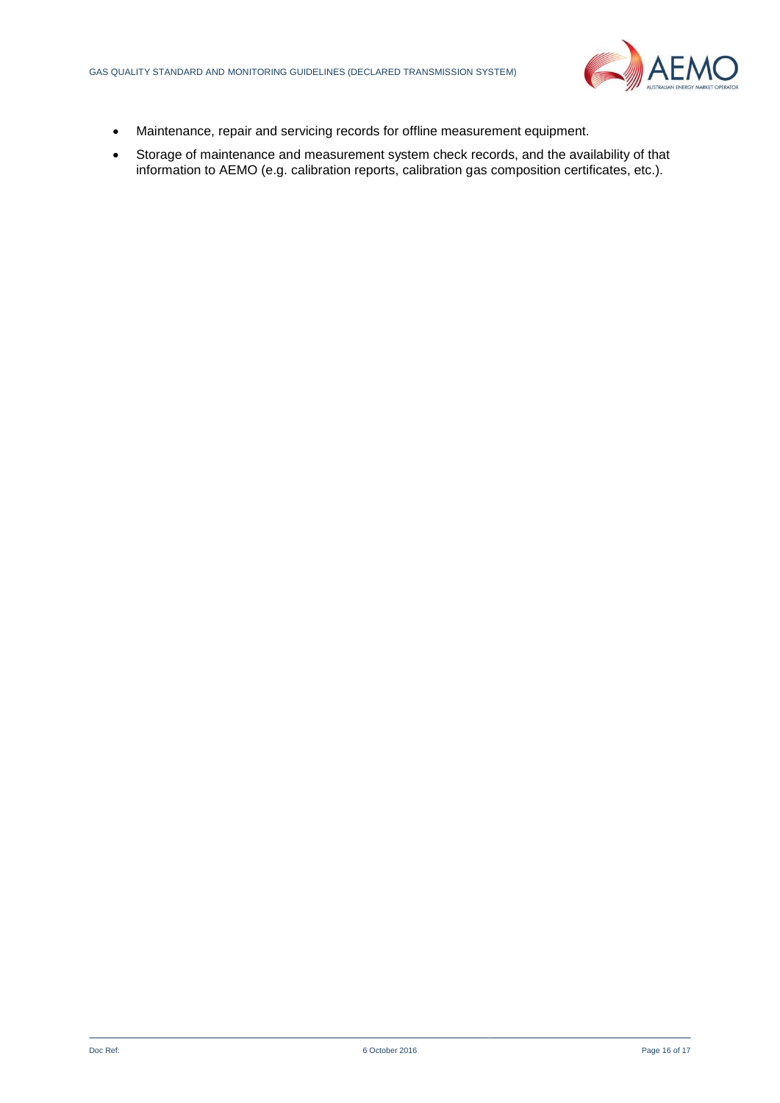

- Maintenance, repair and servicing records for offline measurement equipment.
- Storage of maintenance and measurement system check records, and the availability of that information to AEMO (e.g. calibration reports, calibration gas composition certificates, etc.).